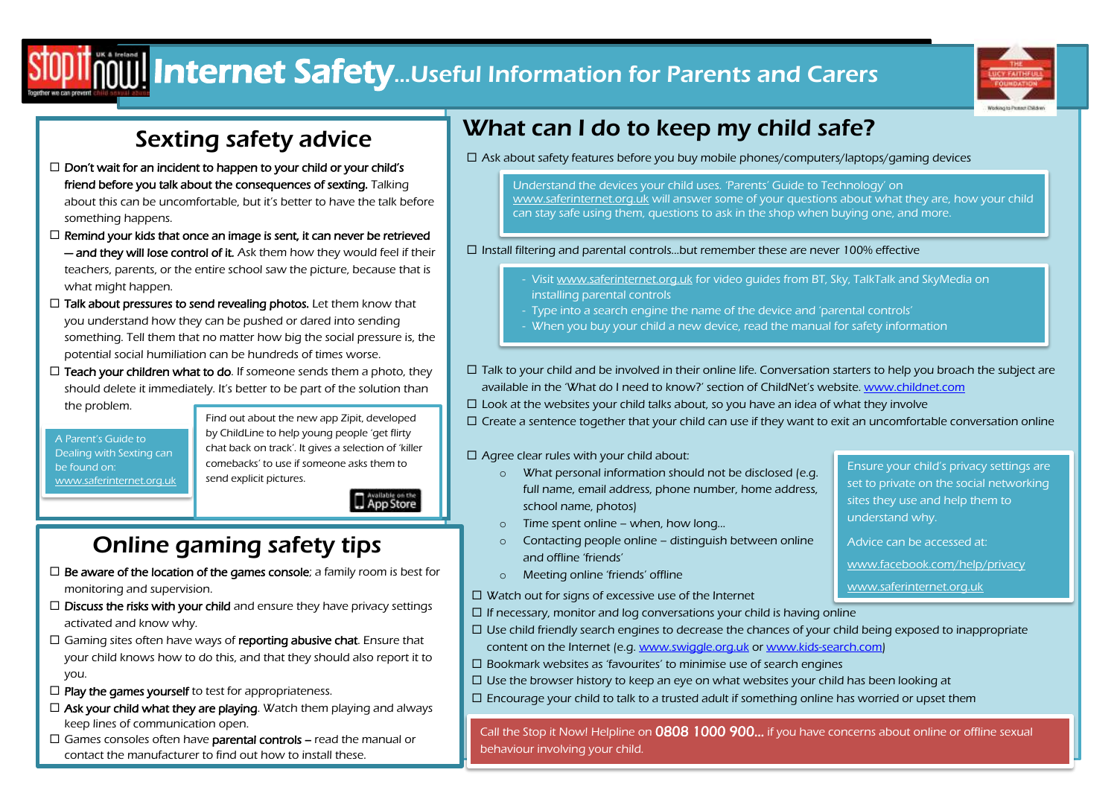# $\frac{1}{\|I\|}$  Internet Safety...Useful Information for Parents and Carers



## Sexting safety advice

- $\Box$  Don't wait for an incident to happen to your child or your child's friend before you talk about the consequences of sexting. Talking about this can be uncomfortable, but it's better to have the talk before something happens.
- $\Box$  Remind your kids that once an image is sent, it can never be retrieved - and they will lose control of it. Ask them how they would feel if their teachers, parents, or the entire school saw the picture, because that is what might happen.
- $\Box$  Talk about pressures to send revealing photos. Let them know that you understand how they can be pushed or dared into sending something. Tell them that no matter how big the social pressure is, the potential social humiliation can be hundreds of times worse.
- $\Box$  Teach your children what to do. If someone sends them a photo, they should delete it immediately. It's better to be part of the solution than the problem.

A Parent's Guide to Dealing with Sexting can be found on: [www.saferinternet.org.uk](http://www.saferinternet.org.uk/) Find out about the new app Zipit, developed by ChildLine to help young people 'get flirty chat back on track'. It gives a selection of 'killer comebacks' to use if someone asks them to send explicit pictures.

App Store

### . ć Online gaming safety tips

- $\Box$  Be aware of the location of the games console; a family room is best for monitoring and supervision.
- $\Box$  **Discuss the risks with your child** and ensure they have privacy settings activated and know why.
- $\Box$  Gaming sites often have ways of **reporting abusive chat**. Ensure that your child knows how to do this, and that they should also report it to you.
- $\Box$  Play the games yourself to test for appropriateness.
- $\Box$  Ask your child what they are playing. Watch them playing and always keep lines of communication open.
- $\Box$  Games consoles often have **parental controls** read the manual or contact the manufacturer to find out how to install these.

## What can I do to keep my child safe?

 $\Box$  Ask about safety features before you buy mobile phones/computers/laptops/gaming devices

Understand the devices your child uses. 'Parents' Guide to Technology' on [www.saferinternet.org.uk](http://www.saferinternet.org.uk/) will answer some of your questions about what they are, how your child can stay safe using them, questions to ask in the shop when buying one, and more.

### $\square$  Install filtering and parental controls...but remember these are never 100% effective

- Visi[t www.saferinternet.org.uk](http://www.saferinternet.org.uk/) for video guides from BT, Sky, TalkTalk and SkyMedia on installing parental controls
- Type into a search engine the name of the device and 'parental controls'
- When you buy your child a new device, read the manual for safety information
- $\Box$  Talk to your child and be involved in their online life. Conversation starters to help you broach the subject are available in the 'What do I need to know?' section of ChildNet's website. [www.childnet.com](http://www.childnet.com/)
- $\Box$  Look at the websites your child talks about, so you have an idea of what they involve

 $\Box$  Create a sentence together that your child can use if they want to exit an uncomfortable conversation online

### $\Box$  Agree clear rules with your child about:

- o What personal information should not be disclosed (e.g. full name, email address, phone number, home address, school name, photos)
- o Time spent online when, how long…
- o Contacting people online distinguish between online and offline 'friends'
- o Meeting online 'friends' offline
- $\Box$  Watch out for signs of excessive use of the Internet
- $\Box$  If necessary, monitor and log conversations your child is having online
	- $\Box$  Use child friendly search engines to decrease the chances of your child being exposed to inappropriate content on the Internet (e.g[. www.swiggle.org.uk](http://www.swiggle.org.uk/) o[r www.kids-search.com\)](http://www.kids-search.com/)
- $\square$  Bookmark websites as 'favourites' to minimise use of search engines
- $\Box$  Use the browser history to keep an eye on what websites your child has been looking at
- $\Box$  Encourage your child to talk to a trusted adult if something online has worried or upset them

Call the Stop it Now! Helpline on 0808 1000 900... if you have concerns about online or offline sexual behaviour involving your child.

Ensure your child's privacy settings are set to private on the social networking sites they use and help them to understand why.

- Advice can be accessed at:
- [www.facebook.com/help/privacy](http://www.facebook.com/help/privacy)
- [www.saferinternet.org.uk](http://www.saferinternet.org.uk/)